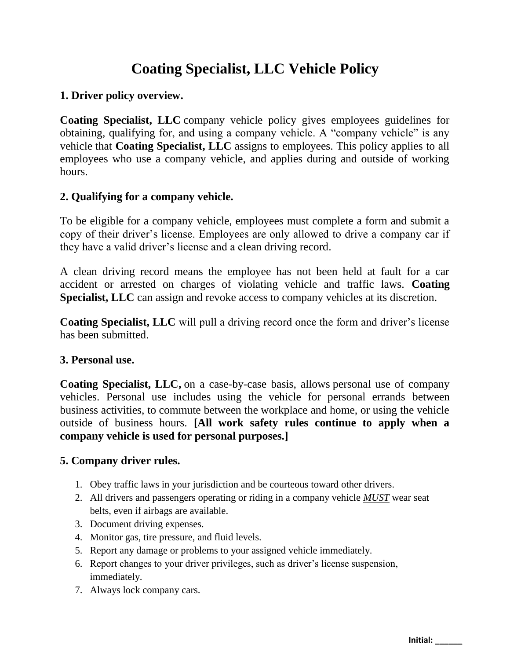# **Coating Specialist, LLC Vehicle Policy**

## **1. Driver policy overview.**

**Coating Specialist, LLC** company vehicle policy gives employees guidelines for obtaining, qualifying for, and using a company vehicle. A "company vehicle" is any vehicle that **Coating Specialist, LLC** assigns to employees. This policy applies to all employees who use a company vehicle, and applies during and outside of working hours.

## **2. Qualifying for a company vehicle.**

To be eligible for a company vehicle, employees must complete a form and submit a copy of their driver's license. Employees are only allowed to drive a company car if they have a valid driver's license and a clean driving record.

A clean driving record means the employee has not been held at fault for a car accident or arrested on charges of violating vehicle and traffic laws. **Coating Specialist, LLC** can assign and revoke access to company vehicles at its discretion.

**Coating Specialist, LLC** will pull a driving record once the form and driver's license has been submitted.

## **3. Personal use.**

**Coating Specialist, LLC,** on a case-by-case basis, allows personal use of company vehicles. Personal use includes using the vehicle for personal errands between business activities, to commute between the workplace and home, or using the vehicle outside of business hours. **[All work safety rules continue to apply when a company vehicle is used for personal purposes.]**

## **5. Company driver rules.**

- 1. Obey traffic laws in your jurisdiction and be courteous toward other drivers.
- 2. All drivers and passengers operating or riding in a company vehicle *MUST* wear seat belts, even if airbags are available.
- 3. Document driving expenses.
- 4. Monitor gas, tire pressure, and fluid levels.
- 5. Report any damage or problems to your assigned vehicle immediately.
- 6. Report changes to your driver privileges, such as driver's license suspension, immediately.
- 7. Always lock company cars.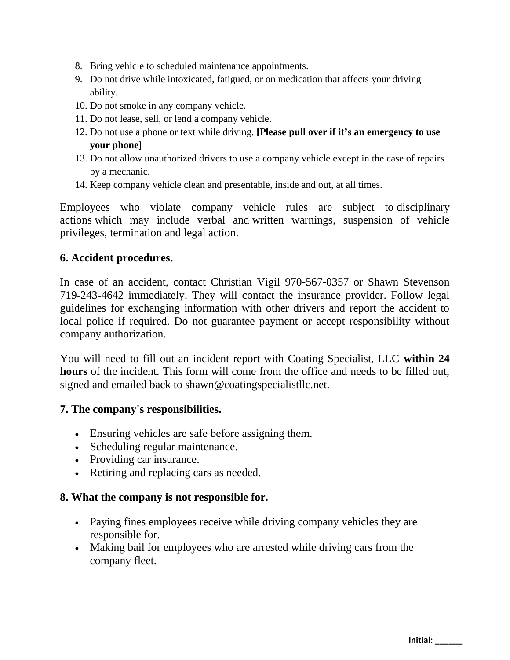- 8. Bring vehicle to scheduled maintenance appointments.
- 9. Do not drive while intoxicated, fatigued, or on medication that affects your driving ability.
- 10. Do not smoke in any company vehicle.
- 11. Do not lease, sell, or lend a company vehicle.
- 12. Do not use a phone or text while driving. **[Please pull over if it's an emergency to use your phone]**
- 13. Do not allow unauthorized drivers to use a company vehicle except in the case of repairs by a mechanic.
- 14. Keep company vehicle clean and presentable, inside and out, at all times.

Employees who violate company vehicle rules are subject to [disciplinary](https://www.betterteam.com/disciplinary-action)  [actions](https://www.betterteam.com/disciplinary-action) which may include verbal and [written warnings,](https://www.betterteam.com/employee-write-up-form) suspension of vehicle privileges, [termination](https://www.betterteam.com/how-to-fire-someone) and legal action.

#### **6. Accident procedures.**

In case of an accident, contact Christian Vigil 970-567-0357 or Shawn Stevenson 719-243-4642 immediately. They will contact the insurance provider. Follow legal guidelines for exchanging information with other drivers and report the accident to local police if required. Do not guarantee payment or accept responsibility without company authorization.

You will need to fill out an incident report with Coating Specialist, LLC **within 24 hours** of the incident. This form will come from the office and needs to be filled out, signed and emailed back to shawn@coatingspecialistllc.net.

#### **7. The company's responsibilities.**

- Ensuring vehicles are safe before assigning them.
- Scheduling regular maintenance.
- Providing car insurance.
- Retiring and replacing cars as needed.

#### **8. What the company is not responsible for.**

- Paying fines employees receive while driving company vehicles they are responsible for.
- Making bail for employees who are arrested while driving cars from the company fleet.